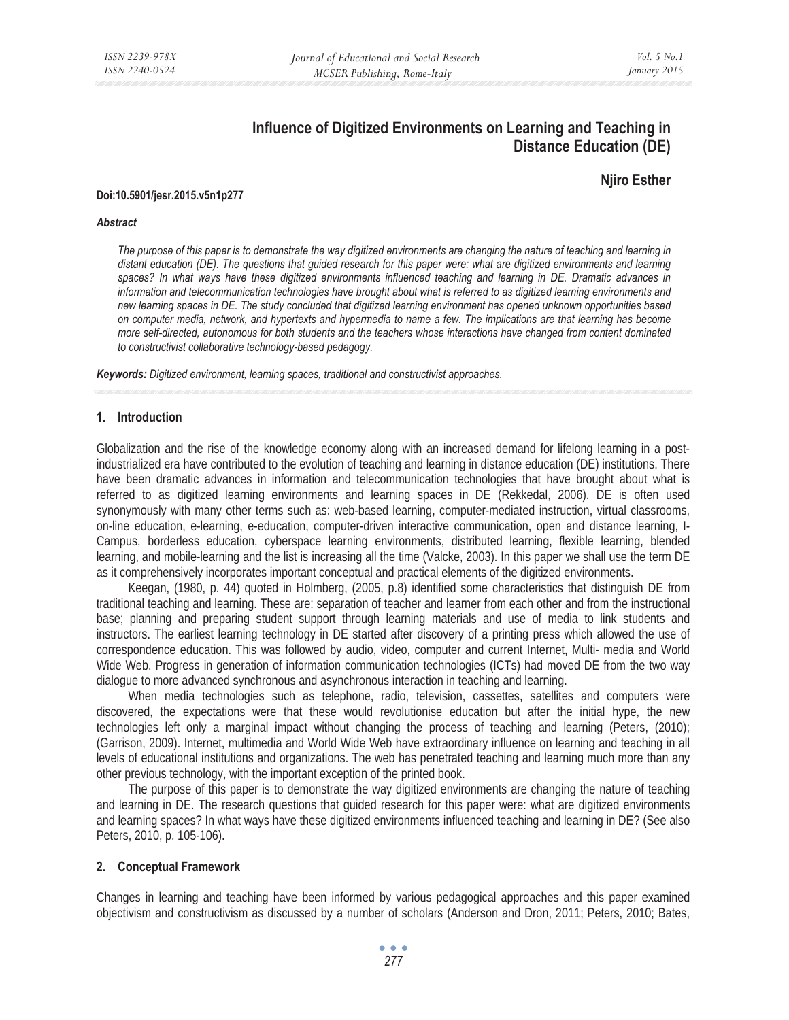# **Influence of Digitized Environments on Learning and Teaching in Distance Education (DE)**

# **Njiro Esther**

#### **Doi:10.5901/jesr.2015.v5n1p277**

#### *Abstract*

*The purpose of this paper is to demonstrate the way digitized environments are changing the nature of teaching and learning in*  distant education (DE). The questions that guided research for this paper were: what are digitized environments and learning spaces? In what ways have these digitized environments influenced teaching and learning in DE. Dramatic advances in *information and telecommunication technologies have brought about what is referred to as digitized learning environments and new learning spaces in DE. The study concluded that digitized learning environment has opened unknown opportunities based on computer media, network, and hypertexts and hypermedia to name a few. The implications are that learning has become more self-directed, autonomous for both students and the teachers whose interactions have changed from content dominated to constructivist collaborative technology-based pedagogy.* 

*Keywords: Digitized environment, learning spaces, traditional and constructivist approaches.*

### **1. Introduction**

Globalization and the rise of the knowledge economy along with an increased demand for lifelong learning in a postindustrialized era have contributed to the evolution of teaching and learning in distance education (DE) institutions. There have been dramatic advances in information and telecommunication technologies that have brought about what is referred to as digitized learning environments and learning spaces in DE (Rekkedal, 2006). DE is often used synonymously with many other terms such as: web-based learning, computer-mediated instruction, virtual classrooms, on-line education, e-learning, e-education, computer-driven interactive communication, open and distance learning, I-Campus, borderless education, cyberspace learning environments, distributed learning, flexible learning, blended learning, and mobile-learning and the list is increasing all the time (Valcke, 2003). In this paper we shall use the term DE as it comprehensively incorporates important conceptual and practical elements of the digitized environments.

Keegan, (1980, p. 44) quoted in Holmberg, (2005, p.8) identified some characteristics that distinguish DE from traditional teaching and learning. These are: separation of teacher and learner from each other and from the instructional base; planning and preparing student support through learning materials and use of media to link students and instructors. The earliest learning technology in DE started after discovery of a printing press which allowed the use of correspondence education. This was followed by audio, video, computer and current Internet, Multi- media and World Wide Web. Progress in generation of information communication technologies (ICTs) had moved DE from the two way dialogue to more advanced synchronous and asynchronous interaction in teaching and learning.

When media technologies such as telephone, radio, television, cassettes, satellites and computers were discovered, the expectations were that these would revolutionise education but after the initial hype, the new technologies left only a marginal impact without changing the process of teaching and learning (Peters, (2010); (Garrison, 2009). Internet, multimedia and World Wide Web have extraordinary influence on learning and teaching in all levels of educational institutions and organizations. The web has penetrated teaching and learning much more than any other previous technology, with the important exception of the printed book.

The purpose of this paper is to demonstrate the way digitized environments are changing the nature of teaching and learning in DE. The research questions that guided research for this paper were: what are digitized environments and learning spaces? In what ways have these digitized environments influenced teaching and learning in DE? (See also Peters, 2010, p. 105-106).

### **2. Conceptual Framework**

Changes in learning and teaching have been informed by various pedagogical approaches and this paper examined objectivism and constructivism as discussed by a number of scholars (Anderson and Dron, 2011; Peters, 2010; Bates,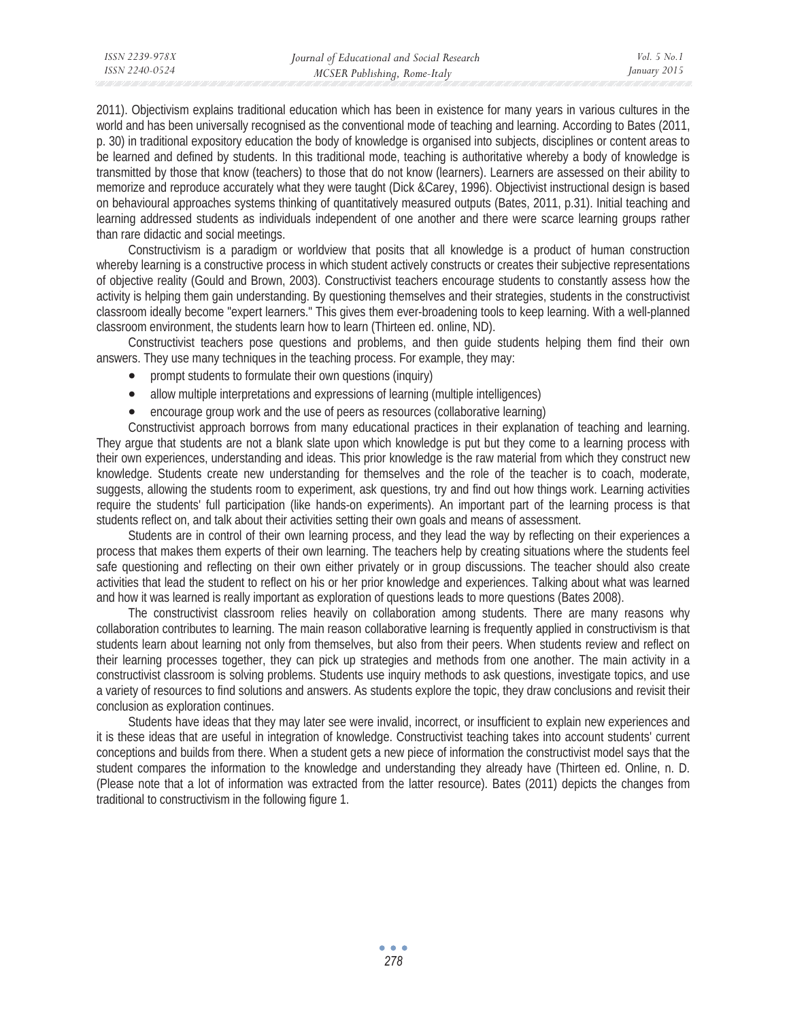2011). Objectivism explains traditional education which has been in existence for many years in various cultures in the world and has been universally recognised as the conventional mode of teaching and learning. According to Bates (2011, p. 30) in traditional expository education the body of knowledge is organised into subjects, disciplines or content areas to be learned and defined by students. In this traditional mode, teaching is authoritative whereby a body of knowledge is transmitted by those that know (teachers) to those that do not know (learners). Learners are assessed on their ability to memorize and reproduce accurately what they were taught (Dick &Carey, 1996). Objectivist instructional design is based on behavioural approaches systems thinking of quantitatively measured outputs (Bates, 2011, p.31). Initial teaching and learning addressed students as individuals independent of one another and there were scarce learning groups rather than rare didactic and social meetings.

Constructivism is a paradigm or worldview that posits that all knowledge is a product of human construction whereby learning is a constructive process in which student actively constructs or creates their subjective representations of objective reality (Gould and Brown, 2003). Constructivist teachers encourage students to constantly assess how the activity is helping them gain understanding. By questioning themselves and their strategies, students in the constructivist classroom ideally become "expert learners." This gives them ever-broadening tools to keep learning. With a well-planned classroom environment, the students learn how to learn (Thirteen ed. online, ND).

Constructivist teachers pose questions and problems, and then guide students helping them find their own answers. They use many techniques in the teaching process. For example, they may:

- prompt students to formulate their own questions (inquiry)
- allow multiple interpretations and expressions of learning (multiple intelligences)
- encourage group work and the use of peers as resources (collaborative learning)

Constructivist approach borrows from many educational practices in their explanation of teaching and learning. They argue that students are not a blank slate upon which knowledge is put but they come to a learning process with their own experiences, understanding and ideas. This prior knowledge is the raw material from which they construct new knowledge. Students create new understanding for themselves and the role of the teacher is to coach, moderate, suggests, allowing the students room to experiment, ask questions, try and find out how things work. Learning activities require the students' full participation (like hands-on experiments). An important part of the learning process is that students reflect on, and talk about their activities setting their own goals and means of assessment.

Students are in control of their own learning process, and they lead the way by reflecting on their experiences a process that makes them experts of their own learning. The teachers help by creating situations where the students feel safe questioning and reflecting on their own either privately or in group discussions. The teacher should also create activities that lead the student to reflect on his or her prior knowledge and experiences. Talking about what was learned and how it was learned is really important as exploration of questions leads to more questions (Bates 2008).

The constructivist classroom relies heavily on collaboration among students. There are many reasons why collaboration contributes to learning. The main reason collaborative learning is frequently applied in constructivism is that students learn about learning not only from themselves, but also from their peers. When students review and reflect on their learning processes together, they can pick up strategies and methods from one another. The main activity in a constructivist classroom is solving problems. Students use inquiry methods to ask questions, investigate topics, and use a variety of resources to find solutions and answers. As students explore the topic, they draw conclusions and revisit their conclusion as exploration continues.

Students have ideas that they may later see were invalid, incorrect, or insufficient to explain new experiences and it is these ideas that are useful in integration of knowledge. Constructivist teaching takes into account students' current conceptions and builds from there. When a student gets a new piece of information the constructivist model says that the student compares the information to the knowledge and understanding they already have (Thirteen ed. Online, n. D. (Please note that a lot of information was extracted from the latter resource). Bates (2011) depicts the changes from traditional to constructivism in the following figure 1.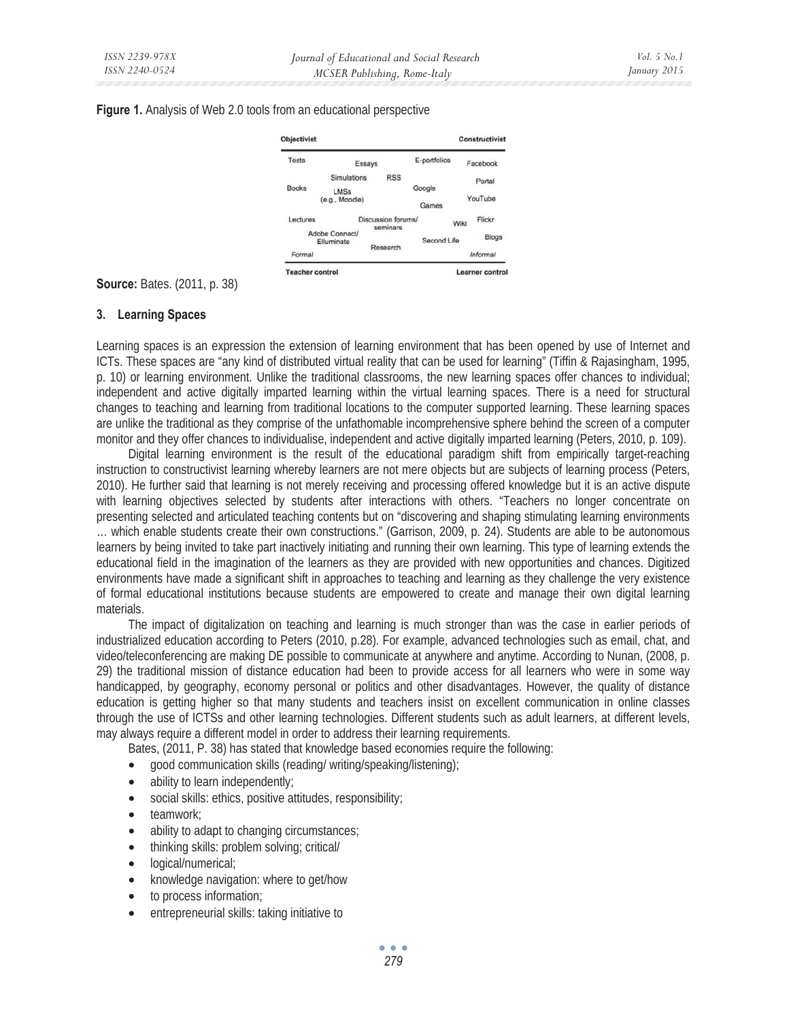### **Figure 1.** Analysis of Web 2.0 tools from an educational perspective

|                |                              |                                |                    | <b>Constructivist</b> |
|----------------|------------------------------|--------------------------------|--------------------|-----------------------|
|                |                              | E-portfolios                   |                    | Facebook              |
| Simulations    | <b>RSS</b>                   |                                |                    | Portal                |
| LMSs           |                              | Google                         |                    |                       |
| (e.g., Moodle) |                              | Games                          |                    | YouTube               |
|                |                              |                                | Wiki               | Flickr                |
|                |                              |                                |                    | Blogs                 |
|                |                              |                                |                    | Informal              |
|                | Adobe Connect/<br>Elluminate | Essays<br>seminars<br>Research | Discussion forums/ | Second Life           |

**Source:** Bates. (2011, p. 38)

## **3. Learning Spaces**

Learning spaces is an expression the extension of learning environment that has been opened by use of Internet and ICTs. These spaces are "any kind of distributed virtual reality that can be used for learning" (Tiffin & Rajasingham, 1995, p. 10) or learning environment. Unlike the traditional classrooms, the new learning spaces offer chances to individual; independent and active digitally imparted learning within the virtual learning spaces. There is a need for structural changes to teaching and learning from traditional locations to the computer supported learning. These learning spaces are unlike the traditional as they comprise of the unfathomable incomprehensive sphere behind the screen of a computer monitor and they offer chances to individualise, independent and active digitally imparted learning (Peters, 2010, p. 109).

Digital learning environment is the result of the educational paradigm shift from empirically target-reaching instruction to constructivist learning whereby learners are not mere objects but are subjects of learning process (Peters, 2010). He further said that learning is not merely receiving and processing offered knowledge but it is an active dispute with learning objectives selected by students after interactions with others. "Teachers no longer concentrate on presenting selected and articulated teaching contents but on "discovering and shaping stimulating learning environments … which enable students create their own constructions." (Garrison, 2009, p. 24). Students are able to be autonomous learners by being invited to take part inactively initiating and running their own learning. This type of learning extends the educational field in the imagination of the learners as they are provided with new opportunities and chances. Digitized environments have made a significant shift in approaches to teaching and learning as they challenge the very existence of formal educational institutions because students are empowered to create and manage their own digital learning materials.

The impact of digitalization on teaching and learning is much stronger than was the case in earlier periods of industrialized education according to Peters (2010, p.28). For example, advanced technologies such as email, chat, and video/teleconferencing are making DE possible to communicate at anywhere and anytime. According to Nunan, (2008, p. 29) the traditional mission of distance education had been to provide access for all learners who were in some way handicapped, by geography, economy personal or politics and other disadvantages. However, the quality of distance education is getting higher so that many students and teachers insist on excellent communication in online classes through the use of ICTSs and other learning technologies. Different students such as adult learners, at different levels, may always require a different model in order to address their learning requirements.

Bates, (2011, P. 38) has stated that knowledge based economies require the following:

- good communication skills (reading/ writing/speaking/listening);
- ability to learn independently;
- social skills: ethics, positive attitudes, responsibility;
- teamwork;
- ability to adapt to changing circumstances;
- thinking skills: problem solving; critical/
- logical/numerical;
- knowledge navigation: where to get/how
- to process information;
- entrepreneurial skills: taking initiative to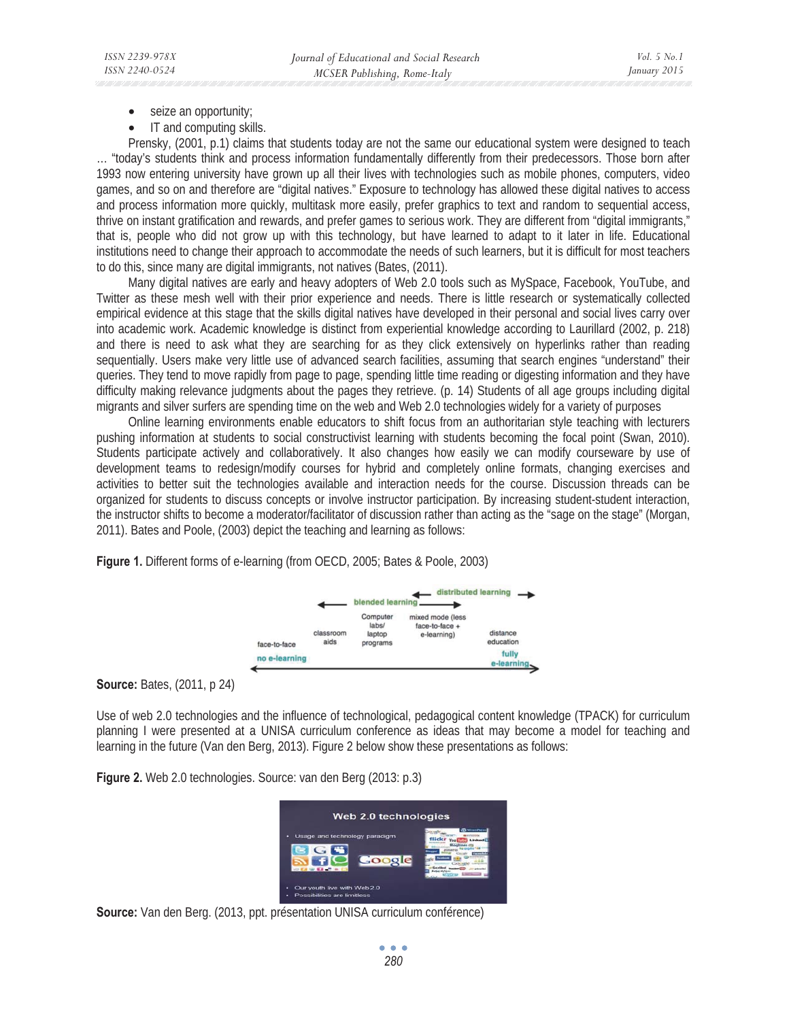- seize an opportunity;
- IT and computing skills.

Prensky, (2001, p.1) claims that students today are not the same our educational system were designed to teach … "today's students think and process information fundamentally differently from their predecessors. Those born after 1993 now entering university have grown up all their lives with technologies such as mobile phones, computers, video games, and so on and therefore are "digital natives." Exposure to technology has allowed these digital natives to access and process information more quickly, multitask more easily, prefer graphics to text and random to sequential access, thrive on instant gratification and rewards, and prefer games to serious work. They are different from "digital immigrants," that is, people who did not grow up with this technology, but have learned to adapt to it later in life. Educational institutions need to change their approach to accommodate the needs of such learners, but it is difficult for most teachers to do this, since many are digital immigrants, not natives (Bates, (2011).

Many digital natives are early and heavy adopters of Web 2.0 tools such as MySpace, Facebook, YouTube, and Twitter as these mesh well with their prior experience and needs. There is little research or systematically collected empirical evidence at this stage that the skills digital natives have developed in their personal and social lives carry over into academic work. Academic knowledge is distinct from experiential knowledge according to Laurillard (2002, p. 218) and there is need to ask what they are searching for as they click extensively on hyperlinks rather than reading sequentially. Users make very little use of advanced search facilities, assuming that search engines "understand" their queries. They tend to move rapidly from page to page, spending little time reading or digesting information and they have difficulty making relevance judgments about the pages they retrieve. (p. 14) Students of all age groups including digital migrants and silver surfers are spending time on the web and Web 2.0 technologies widely for a variety of purposes

Online learning environments enable educators to shift focus from an authoritarian style teaching with lecturers pushing information at students to social constructivist learning with students becoming the focal point (Swan, 2010). Students participate actively and collaboratively. It also changes how easily we can modify courseware by use of development teams to redesign/modify courses for hybrid and completely online formats, changing exercises and activities to better suit the technologies available and interaction needs for the course. Discussion threads can be organized for students to discuss concepts or involve instructor participation. By increasing student-student interaction, the instructor shifts to become a moderator/facilitator of discussion rather than acting as the "sage on the stage" (Morgan, 2011). Bates and Poole, (2003) depict the teaching and learning as follows:

**Figure 1.** Different forms of e-learning (from OECD, 2005; Bates & Poole, 2003)



**Source:** Bates, (2011, p 24)

Use of web 2.0 technologies and the influence of technological, pedagogical content knowledge (TPACK) for curriculum planning I were presented at a UNISA curriculum conference as ideas that may become a model for teaching and learning in the future (Van den Berg, 2013). Figure 2 below show these presentations as follows:

**Figure 2.** Web 2.0 technologies. Source: van den Berg (2013: p.3)



**Source:** Van den Berg. (2013, ppt. présentation UNISA curriculum conférence)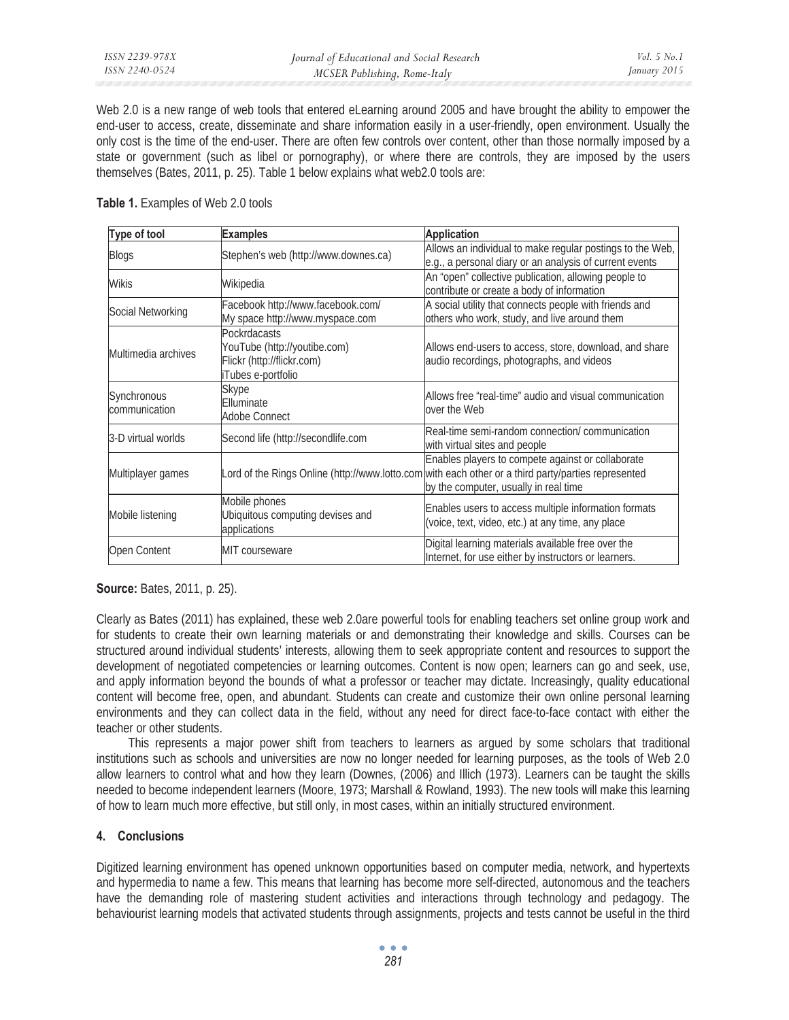Web 2.0 is a new range of web tools that entered eLearning around 2005 and have brought the ability to empower the end-user to access, create, disseminate and share information easily in a user-friendly, open environment. Usually the only cost is the time of the end-user. There are often few controls over content, other than those normally imposed by a state or government (such as libel or pornography), or where there are controls, they are imposed by the users themselves (Bates, 2011, p. 25). Table 1 below explains what web2.0 tools are:

| Table 1. Examples of Web 2.0 tools |  |
|------------------------------------|--|
|------------------------------------|--|

| Type of tool                 | <b>Examples</b>                                                                                         | <b>Application</b>                                                                                                                                                                                |  |
|------------------------------|---------------------------------------------------------------------------------------------------------|---------------------------------------------------------------------------------------------------------------------------------------------------------------------------------------------------|--|
| <b>Blogs</b>                 | Stephen's web (http://www.downes.ca)                                                                    | Allows an individual to make regular postings to the Web,<br>e.g., a personal diary or an analysis of current events                                                                              |  |
| <b>Wikis</b>                 | Wikipedia                                                                                               | An "open" collective publication, allowing people to<br>contribute or create a body of information                                                                                                |  |
| Social Networking            | Facebook http://www.facebook.com/<br>My space http://www.myspace.com                                    | A social utility that connects people with friends and<br>others who work, study, and live around them                                                                                            |  |
| Multimedia archives          | <b>Pockrdacasts</b><br>YouTube (http://youtibe.com)<br>Flickr (http://flickr.com)<br>iTubes e-portfolio | Allows end-users to access, store, download, and share<br>audio recordings, photographs, and videos                                                                                               |  |
| Synchronous<br>communication | Skype<br>Elluminate<br><b>Adobe Connect</b>                                                             | Allows free "real-time" audio and visual communication<br>lover the Web                                                                                                                           |  |
| 3-D virtual worlds           | Second life (http://secondlife.com                                                                      | Real-time semi-random connection/ communication<br>with virtual sites and people                                                                                                                  |  |
| Multiplayer games            |                                                                                                         | Enables players to compete against or collaborate<br>Lord of the Rings Online (http://www.lotto.com with each other or a third party/parties represented<br>by the computer, usually in real time |  |
| Mobile listening             | Mobile phones<br>Ubiquitous computing devises and<br>applications                                       | Enables users to access multiple information formats<br>(voice, text, video, etc.) at any time, any place                                                                                         |  |
| Open Content                 | MIT courseware                                                                                          | Digital learning materials available free over the<br>Internet, for use either by instructors or learners.                                                                                        |  |

**Source:** Bates, 2011, p. 25).

Clearly as Bates (2011) has explained, these web 2.0are powerful tools for enabling teachers set online group work and for students to create their own learning materials or and demonstrating their knowledge and skills. Courses can be structured around individual students' interests, allowing them to seek appropriate content and resources to support the development of negotiated competencies or learning outcomes. Content is now open; learners can go and seek, use, and apply information beyond the bounds of what a professor or teacher may dictate. Increasingly, quality educational content will become free, open, and abundant. Students can create and customize their own online personal learning environments and they can collect data in the field, without any need for direct face-to-face contact with either the teacher or other students.

This represents a major power shift from teachers to learners as argued by some scholars that traditional institutions such as schools and universities are now no longer needed for learning purposes, as the tools of Web 2.0 allow learners to control what and how they learn (Downes, (2006) and Illich (1973). Learners can be taught the skills needed to become independent learners (Moore, 1973; Marshall & Rowland, 1993). The new tools will make this learning of how to learn much more effective, but still only, in most cases, within an initially structured environment.

# **4. Conclusions**

Digitized learning environment has opened unknown opportunities based on computer media, network, and hypertexts and hypermedia to name a few. This means that learning has become more self-directed, autonomous and the teachers have the demanding role of mastering student activities and interactions through technology and pedagogy. The behaviourist learning models that activated students through assignments, projects and tests cannot be useful in the third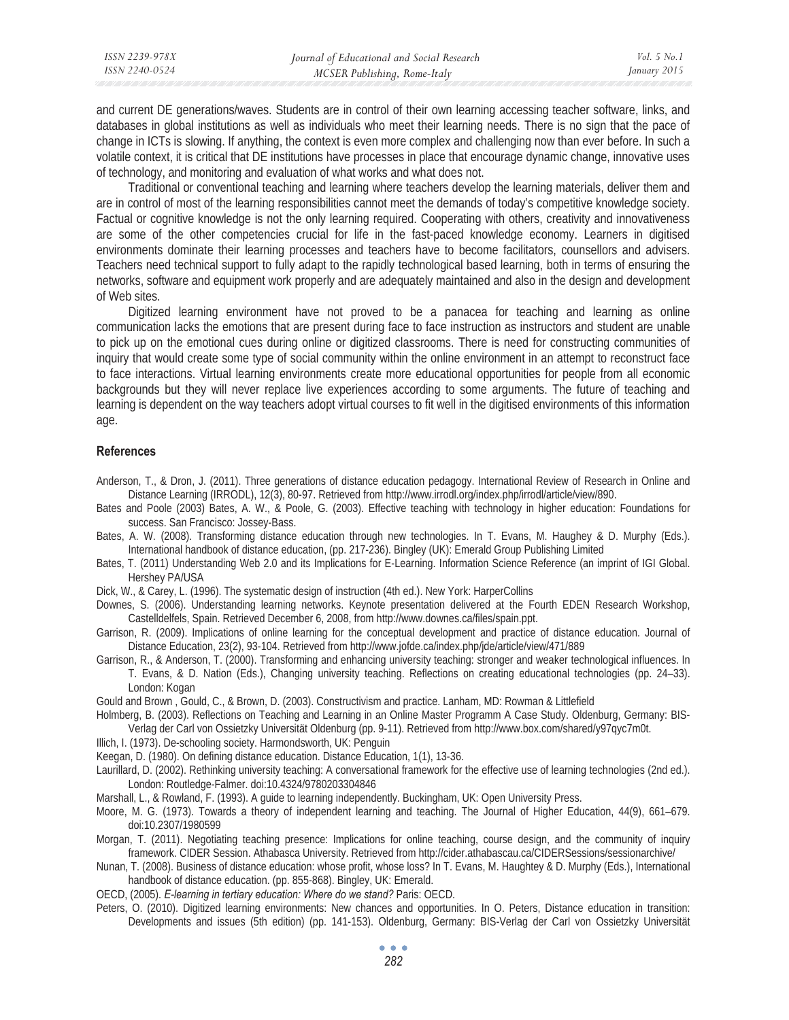| ISSN 2239-978X | Journal of Educational and Social Research | <i>Vol.</i> 5 $No.1$ |
|----------------|--------------------------------------------|----------------------|
| ISSN 2240-0524 | MCSER Publishing, Rome-Italy               | January 2015         |
|                |                                            |                      |

and current DE generations/waves. Students are in control of their own learning accessing teacher software, links, and databases in global institutions as well as individuals who meet their learning needs. There is no sign that the pace of change in ICTs is slowing. If anything, the context is even more complex and challenging now than ever before. In such a volatile context, it is critical that DE institutions have processes in place that encourage dynamic change, innovative uses of technology, and monitoring and evaluation of what works and what does not.

Traditional or conventional teaching and learning where teachers develop the learning materials, deliver them and are in control of most of the learning responsibilities cannot meet the demands of today's competitive knowledge society. Factual or cognitive knowledge is not the only learning required. Cooperating with others, creativity and innovativeness are some of the other competencies crucial for life in the fast-paced knowledge economy. Learners in digitised environments dominate their learning processes and teachers have to become facilitators, counsellors and advisers. Teachers need technical support to fully adapt to the rapidly technological based learning, both in terms of ensuring the networks, software and equipment work properly and are adequately maintained and also in the design and development of Web sites.

Digitized learning environment have not proved to be a panacea for teaching and learning as online communication lacks the emotions that are present during face to face instruction as instructors and student are unable to pick up on the emotional cues during online or digitized classrooms. There is need for constructing communities of inquiry that would create some type of social community within the online environment in an attempt to reconstruct face to face interactions. Virtual learning environments create more educational opportunities for people from all economic backgrounds but they will never replace live experiences according to some arguments. The future of teaching and learning is dependent on the way teachers adopt virtual courses to fit well in the digitised environments of this information age.

#### **References**

- Anderson, T., & Dron, J. (2011). Three generations of distance education pedagogy. International Review of Research in Online and Distance Learning (IRRODL), 12(3), 80-97. Retrieved from http://www.irrodl.org/index.php/irrodl/article/view/890.
- Bates and Poole (2003) Bates, A. W., & Poole, G. (2003). Effective teaching with technology in higher education: Foundations for success. San Francisco: Jossey-Bass.
- Bates, A. W. (2008). Transforming distance education through new technologies. In T. Evans, M. Haughey & D. Murphy (Eds.). International handbook of distance education, (pp. 217-236). Bingley (UK): Emerald Group Publishing Limited
- Bates, T. (2011) Understanding Web 2.0 and its Implications for E-Learning. Information Science Reference (an imprint of IGI Global. Hershey PA/USA
- Dick, W., & Carey, L. (1996). The systematic design of instruction (4th ed.). New York: HarperCollins
- Downes, S. (2006). Understanding learning networks. Keynote presentation delivered at the Fourth EDEN Research Workshop, Castelldelfels, Spain. Retrieved December 6, 2008, from http://www.downes.ca/files/spain.ppt.
- Garrison, R. (2009). Implications of online learning for the conceptual development and practice of distance education. Journal of Distance Education, 23(2), 93-104. Retrieved from http://www.jofde.ca/index.php/jde/article/view/471/889
- Garrison, R., & Anderson, T. (2000). Transforming and enhancing university teaching: stronger and weaker technological influences. In T. Evans, & D. Nation (Eds.), Changing university teaching. Reflections on creating educational technologies (pp. 24–33). London: Kogan
- Gould and Brown , Gould, C., & Brown, D. (2003). Constructivism and practice. Lanham, MD: Rowman & Littlefield

Holmberg, B. (2003). Reflections on Teaching and Learning in an Online Master Programm A Case Study. Oldenburg, Germany: BIS-Verlag der Carl von Ossietzky Universität Oldenburg (pp. 9-11). Retrieved from http://www.box.com/shared/y97qyc7m0t.

- Illich, I. (1973). De-schooling society. Harmondsworth, UK: Penguin
- Keegan, D. (1980). On defining distance education. Distance Education, 1(1), 13-36.
- Laurillard, D. (2002). Rethinking university teaching: A conversational framework for the effective use of learning technologies (2nd ed.). London: Routledge-Falmer. doi:10.4324/9780203304846
- Marshall, L., & Rowland, F. (1993). A guide to learning independently. Buckingham, UK: Open University Press.
- Moore, M. G. (1973). Towards a theory of independent learning and teaching. The Journal of Higher Education, 44(9), 661–679. doi:10.2307/1980599
- Morgan, T. (2011). Negotiating teaching presence: Implications for online teaching, course design, and the community of inquiry framework. CIDER Session. Athabasca University. Retrieved from http://cider.athabascau.ca/CIDERSessions/sessionarchive/
- Nunan, T. (2008). Business of distance education: whose profit, whose loss? In T. Evans, M. Haughtey & D. Murphy (Eds.), International handbook of distance education. (pp. 855-868). Bingley, UK: Emerald.
- OECD, (2005). *E-learning in tertiary education: Where do we stand?* Paris: OECD.
- Peters, O. (2010). Digitized learning environments: New chances and opportunities. In O. Peters, Distance education in transition: Developments and issues (5th edition) (pp. 141-153). Oldenburg, Germany: BIS-Verlag der Carl von Ossietzky Universität